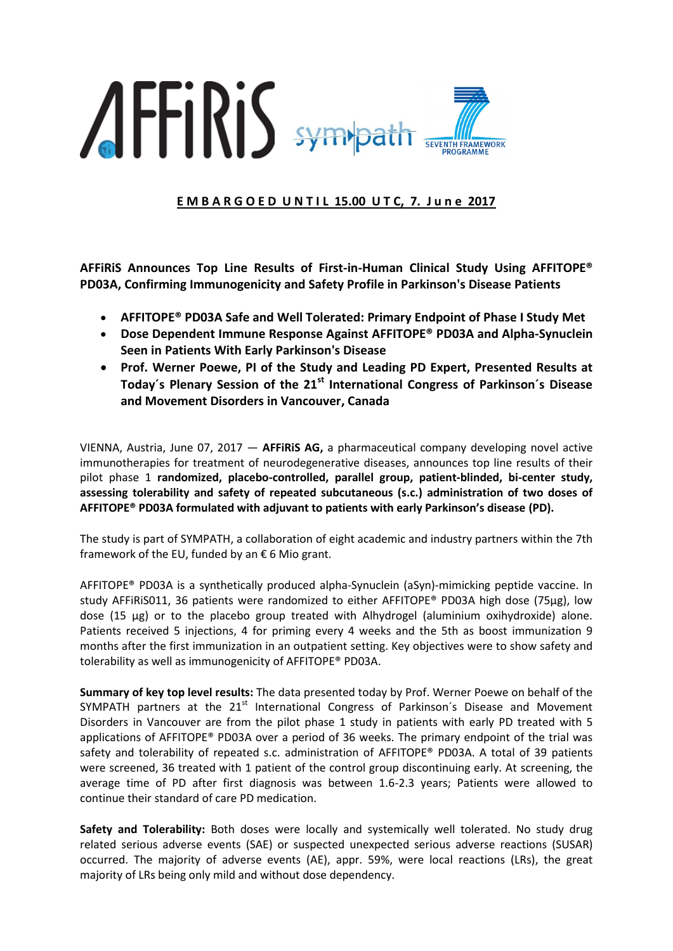

**E M B A R G O E D U N T I L 15.00 U T C, 7. J u n e 2017**

**AFFiRiS Announces Top Line Results of First-in-Human Clinical Study Using AFFITOPE® PD03A, Confirming Immunogenicity and Safety Profile in Parkinson's Disease Patients**

- **AFFITOPE® PD03A Safe and Well Tolerated: Primary Endpoint of Phase I Study Met**
- **Dose Dependent Immune Response Against AFFITOPE® PD03A and Alpha-Synuclein Seen in Patients With Early Parkinson's Disease**
- **Prof. Werner Poewe, PI of the Study and Leading PD Expert, Presented Results at Today´s Plenary Session of the 21st International Congress of Parkinson´s Disease and Movement Disorders in Vancouver, Canada**

VIENNA, Austria, June 07, 2017 — **AFFiRiS AG,** a pharmaceutical company developing novel active immunotherapies for treatment of neurodegenerative diseases, announces top line results of their pilot phase 1 **randomized, placebo-controlled, parallel group, patient-blinded, bi-center study, assessing tolerability and safety of repeated subcutaneous (s.c.) administration of two doses of AFFITOPE® PD03A formulated with adjuvant to patients with early Parkinson's disease (PD).** 

The study is part of SYMPATH, a collaboration of eight academic and industry partners within the 7th framework of the EU, funded by an  $\epsilon$  6 Mio grant.

AFFITOPE® PD03A is a synthetically produced alpha-Synuclein (aSyn)-mimicking peptide vaccine. In study AFFiRiS011, 36 patients were randomized to either AFFITOPE® PD03A high dose (75µg), low dose (15 µg) or to the placebo group treated with Alhydrogel (aluminium oxihydroxide) alone. Patients received 5 injections, 4 for priming every 4 weeks and the 5th as boost immunization 9 months after the first immunization in an outpatient setting. Key objectives were to show safety and tolerability as well as immunogenicity of AFFITOPE® PD03A.

**Summary of key top level results:** The data presented today by Prof. Werner Poewe on behalf of the SYMPATH partners at the 21<sup>st</sup> International Congress of Parkinson's Disease and Movement Disorders in Vancouver are from the pilot phase 1 study in patients with early PD treated with 5 applications of AFFITOPE® PD03A over a period of 36 weeks. The primary endpoint of the trial was safety and tolerability of repeated s.c. administration of AFFITOPE® PD03A. A total of 39 patients were screened, 36 treated with 1 patient of the control group discontinuing early. At screening, the average time of PD after first diagnosis was between 1.6-2.3 years; Patients were allowed to continue their standard of care PD medication.

**Safety and Tolerability:** Both doses were locally and systemically well tolerated. No study drug related serious adverse events (SAE) or suspected unexpected serious adverse reactions (SUSAR) occurred. The majority of adverse events (AE), appr. 59%, were local reactions (LRs), the great majority of LRs being only mild and without dose dependency.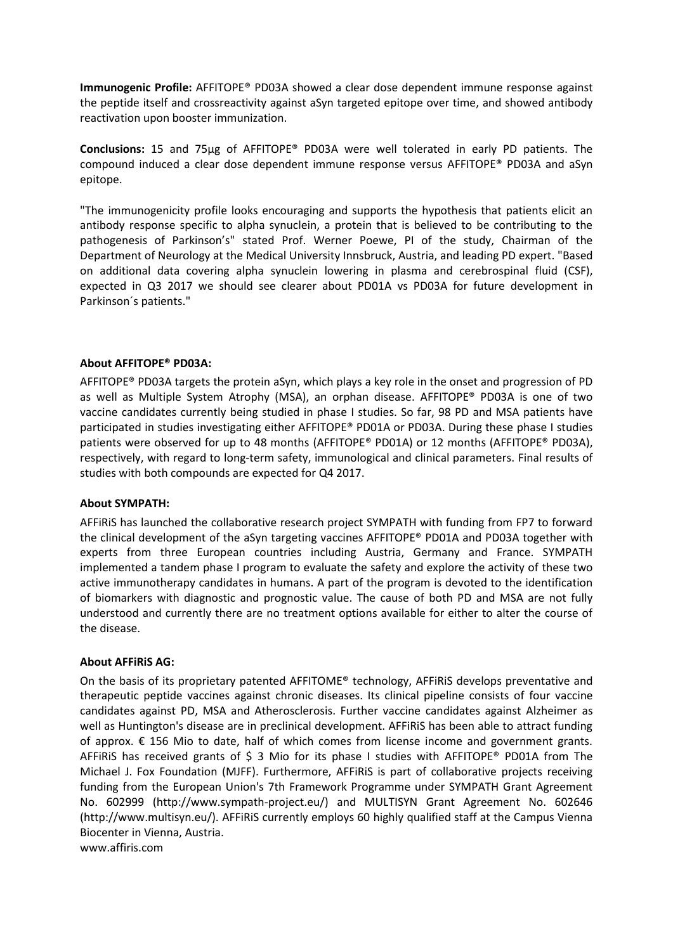**Immunogenic Profile:** AFFITOPE® PD03A showed a clear dose dependent immune response against the peptide itself and crossreactivity against aSyn targeted epitope over time, and showed antibody reactivation upon booster immunization.

**Conclusions:** 15 and 75µg of AFFITOPE® PD03A were well tolerated in early PD patients. The compound induced a clear dose dependent immune response versus AFFITOPE® PD03A and aSyn epitope.

"The immunogenicity profile looks encouraging and supports the hypothesis that patients elicit an antibody response specific to alpha synuclein, a protein that is believed to be contributing to the pathogenesis of Parkinson's" stated Prof. Werner Poewe, PI of the study, Chairman of the Department of Neurology at the Medical University Innsbruck, Austria, and leading PD expert. "Based on additional data covering alpha synuclein lowering in plasma and cerebrospinal fluid (CSF), expected in Q3 2017 we should see clearer about PD01A vs PD03A for future development in Parkinson´s patients."

## **About AFFITOPE® PD03A:**

AFFITOPE® PD03A targets the protein aSyn, which plays a key role in the onset and progression of PD as well as Multiple System Atrophy (MSA), an orphan disease. AFFITOPE® PD03A is one of two vaccine candidates currently being studied in phase I studies. So far, 98 PD and MSA patients have participated in studies investigating either AFFITOPE® PD01A or PD03A. During these phase I studies patients were observed for up to 48 months (AFFITOPE® PD01A) or 12 months (AFFITOPE® PD03A), respectively, with regard to long-term safety, immunological and clinical parameters. Final results of studies with both compounds are expected for Q4 2017.

#### **About SYMPATH:**

AFFiRiS has launched the collaborative research project SYMPATH with funding from FP7 to forward the clinical development of the aSyn targeting vaccines AFFITOPE® PD01A and PD03A together with experts from three European countries including Austria, Germany and France. SYMPATH implemented a tandem phase I program to evaluate the safety and explore the activity of these two active immunotherapy candidates in humans. A part of the program is devoted to the identification of biomarkers with diagnostic and prognostic value. The cause of both PD and MSA are not fully understood and currently there are no treatment options available for either to alter the course of the disease.

#### **About AFFiRiS AG:**

On the basis of its proprietary patented AFFITOME® technology, AFFiRiS develops preventative and therapeutic peptide vaccines against chronic diseases. Its clinical pipeline consists of four vaccine candidates against PD, MSA and Atherosclerosis. Further vaccine candidates against Alzheimer as well as Huntington's disease are in preclinical development. AFFiRiS has been able to attract funding of approx. € 156 Mio to date, half of which comes from license income and government grants. AFFIRIS has received grants of  $\frac{2}{5}$  3 Mio for its phase I studies with AFFITOPE® PD01A from The Michael J. Fox Foundation (MJFF). Furthermore, AFFiRiS is part of collaborative projects receiving funding from the European Union's 7th Framework Programme under SYMPATH Grant Agreement No. 602999 [\(http://www.sympath-project.eu/\)](http://www.sympath-project.eu/) and MULTISYN Grant Agreement No. 602646 [\(http://www.multisyn.eu/\)](http://www.multisyn.eu/). AFFiRiS currently employs 60 highly qualified staff at the Campus Vienna Biocenter in Vienna, Austria.

www.affiris.com